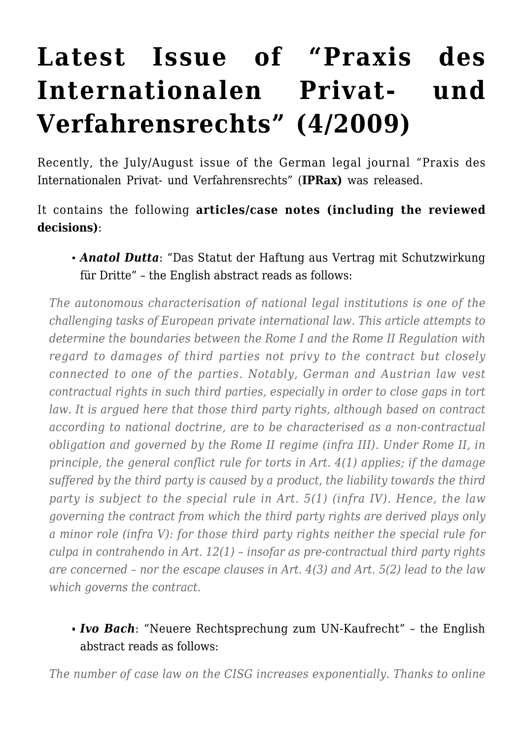# **[Latest Issue of "Praxis des](https://conflictoflaws.net/2009/latest-issue-of-%e2%80%9cpraxis-des-internationalen-privat-und-verfahrensrechts%e2%80%9d-42009/) [Internationalen Privat- und](https://conflictoflaws.net/2009/latest-issue-of-%e2%80%9cpraxis-des-internationalen-privat-und-verfahrensrechts%e2%80%9d-42009/) [Verfahrensrechts" \(4/2009\)](https://conflictoflaws.net/2009/latest-issue-of-%e2%80%9cpraxis-des-internationalen-privat-und-verfahrensrechts%e2%80%9d-42009/)**

Recently, the July/August issue of the German legal journal "Praxis des Internationalen Privat- und Verfahrensrechts" (**[IPRax\)](http://www.iprax.de/)** was released.

## It contains the following **articles/case notes (including the reviewed decisions)**:

## *Anatol Dutta*: "Das Statut der Haftung aus Vertrag mit Schutzwirkung für Dritte" – the English abstract reads as follows:

*The autonomous characterisation of national legal institutions is one of the challenging tasks of European private international law. This article attempts to determine the boundaries between the Rome I and the Rome II Regulation with regard to damages of third parties not privy to the contract but closely connected to one of the parties. Notably, German and Austrian law vest contractual rights in such third parties, especially in order to close gaps in tort law. It is argued here that those third party rights, although based on contract according to national doctrine, are to be characterised as a non-contractual obligation and governed by the Rome II regime (infra III). Under Rome II, in principle, the general conflict rule for torts in Art. 4(1) applies; if the damage suffered by the third party is caused by a product, the liability towards the third party is subject to the special rule in Art. 5(1) (infra IV). Hence, the law governing the contract from which the third party rights are derived plays only a minor role (infra V): for those third party rights neither the special rule for culpa in contrahendo in Art. 12(1) – insofar as pre-contractual third party rights are concerned – nor the escape clauses in Art. 4(3) and Art. 5(2) lead to the law which governs the contract.*

# *Ivo Bach*: "Neuere Rechtsprechung zum UN-Kaufrecht" – the English abstract reads as follows:

*The number of case law on the CISG increases exponentially. Thanks to online*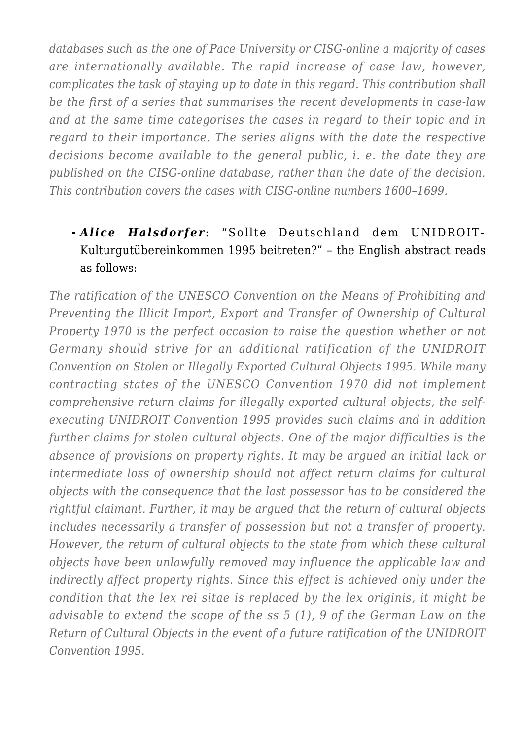*databases such as the one of Pace University or CISG-online a majority of cases are internationally available. The rapid increase of case law, however, complicates the task of staying up to date in this regard. This contribution shall be the first of a series that summarises the recent developments in case-law and at the same time categorises the cases in regard to their topic and in regard to their importance. The series aligns with the date the respective decisions become available to the general public, i. e. the date they are published on the CISG-online database, rather than the date of the decision. This contribution covers the cases with CISG-online numbers 1600–1699.*

# *Alice Halsdorfer*: "Sollte Deutschland dem UNIDROIT-Kulturgutübereinkommen 1995 beitreten?" – the English abstract reads as follows:

*The ratification of the UNESCO Convention on the Means of Prohibiting and Preventing the Illicit Import, Export and Transfer of Ownership of Cultural Property 1970 is the perfect occasion to raise the question whether or not Germany should strive for an additional ratification of the UNIDROIT Convention on Stolen or Illegally Exported Cultural Objects 1995. While many contracting states of the UNESCO Convention 1970 did not implement comprehensive return claims for illegally exported cultural objects, the selfexecuting UNIDROIT Convention 1995 provides such claims and in addition further claims for stolen cultural objects. One of the major difficulties is the absence of provisions on property rights. It may be argued an initial lack or intermediate loss of ownership should not affect return claims for cultural objects with the consequence that the last possessor has to be considered the rightful claimant. Further, it may be argued that the return of cultural objects includes necessarily a transfer of possession but not a transfer of property. However, the return of cultural objects to the state from which these cultural objects have been unlawfully removed may influence the applicable law and indirectly affect property rights. Since this effect is achieved only under the condition that the lex rei sitae is replaced by the lex originis, it might be advisable to extend the scope of the ss 5 (1), 9 of the German Law on the Return of Cultural Objects in the event of a future ratification of the UNIDROIT Convention 1995.*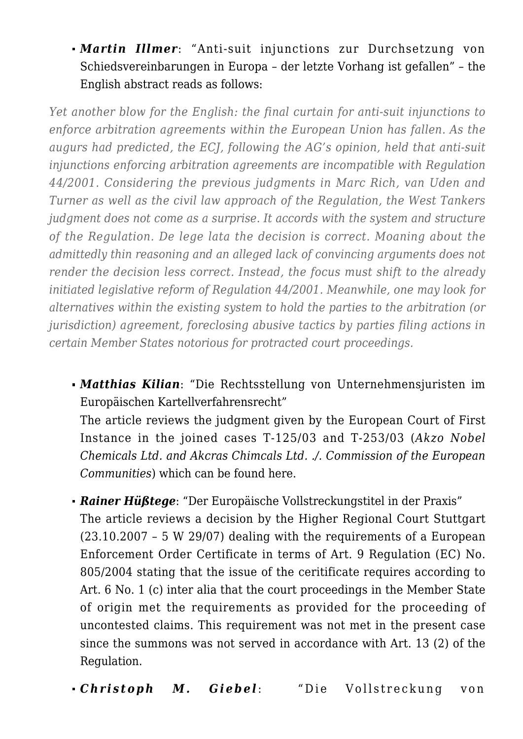*Martin Illmer*: "Anti-suit injunctions zur Durchsetzung von Schiedsvereinbarungen in Europa – der letzte Vorhang ist gefallen" – the English abstract reads as follows:

*Yet another blow for the English: the final curtain for anti-suit injunctions to enforce arbitration agreements within the European Union has fallen. As the augurs had predicted, the ECJ, following the AG's opinion, held that anti-suit injunctions enforcing arbitration agreements are incompatible with Regulation 44/2001. Considering the previous judgments in Marc Rich, van Uden and Turner as well as the civil law approach of the Regulation, the West Tankers judgment does not come as a surprise. It accords with the system and structure of the Regulation. De lege lata the decision is correct. Moaning about the admittedly thin reasoning and an alleged lack of convincing arguments does not render the decision less correct. Instead, the focus must shift to the already initiated legislative reform of Regulation 44/2001. Meanwhile, one may look for alternatives within the existing system to hold the parties to the arbitration (or jurisdiction) agreement, foreclosing abusive tactics by parties filing actions in certain Member States notorious for protracted court proceedings.*

*Matthias Kilian*: "Die Rechtsstellung von Unternehmensjuristen im Europäischen Kartellverfahrensrecht"

The article reviews the judgment given by the European Court of First Instance in the joined cases T-125/03 and T-253/03 (*Akzo Nobel Chemicals Ltd. and Akcras Chimcals Ltd. ./. Commission of the European Communities*) which can be found [here](http://curia.europa.eu/jurisp/cgi-bin/form.pl?lang=en&jurtpi=jurtpi&jurtfp=jurtfp&numaff=125/03&nomusuel=&docnodecision=docnodecision&allcommjo=allcommjo&affint=affint&affclose=affclose&alldocrec=alldocrec&docor=docor&docav=docav&docsom=docsom&docinf=docinf&alldocnorec=alldocnorec&docnoor=docnoor&radtypeord=on&newform=newform&docj=docj&docop=docop&docnoj=docnoj&typeord=ALL&domaine=&mots=&resmax=100&Submit=Rechercher).

- *Rainer Hüßtege*: "Der Europäische Vollstreckungstitel in der Praxis" The article reviews a decision by the Higher Regional Court Stuttgart (23.10.2007 – 5 W 29/07) dealing with the requirements of a European Enforcement Order Certificate in terms of Art. 9 Regulation (EC) No. 805/2004 stating that the issue of the ceritificate requires according to Art. 6 No. 1 (c) inter alia that the court proceedings in the Member State of origin met the requirements as provided for the proceeding of uncontested claims. This requirement was not met in the present case since the summons was not served in accordance with Art. 13 (2) of the Regulation.
- *Christoph M. Giebel*: "Die Vollstreckung von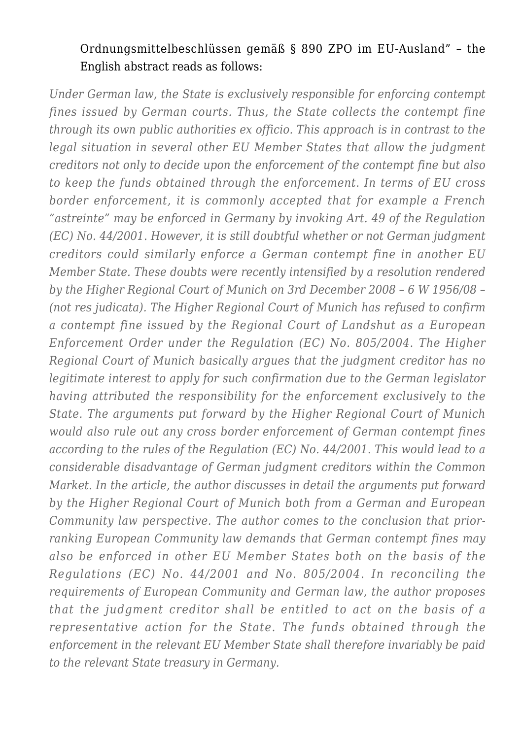### Ordnungsmittelbeschlüssen gemäß § 890 ZPO im EU-Ausland" – the English abstract reads as follows:

*Under German law, the State is exclusively responsible for enforcing contempt fines issued by German courts. Thus, the State collects the contempt fine through its own public authorities ex officio. This approach is in contrast to the legal situation in several other EU Member States that allow the judgment creditors not only to decide upon the enforcement of the contempt fine but also to keep the funds obtained through the enforcement. In terms of EU cross border enforcement, it is commonly accepted that for example a French "astreinte" may be enforced in Germany by invoking Art. 49 of the Regulation (EC) No. 44/2001. However, it is still doubtful whether or not German judgment creditors could similarly enforce a German contempt fine in another EU Member State. These doubts were recently intensified by a resolution rendered by the Higher Regional Court of Munich on 3rd December 2008 – 6 W 1956/08 – (not res judicata). The Higher Regional Court of Munich has refused to confirm a contempt fine issued by the Regional Court of Landshut as a European Enforcement Order under the Regulation (EC) No. 805/2004. The Higher Regional Court of Munich basically argues that the judgment creditor has no legitimate interest to apply for such confirmation due to the German legislator having attributed the responsibility for the enforcement exclusively to the State. The arguments put forward by the Higher Regional Court of Munich would also rule out any cross border enforcement of German contempt fines according to the rules of the Regulation (EC) No. 44/2001. This would lead to a considerable disadvantage of German judgment creditors within the Common Market. In the article, the author discusses in detail the arguments put forward by the Higher Regional Court of Munich both from a German and European Community law perspective. The author comes to the conclusion that priorranking European Community law demands that German contempt fines may also be enforced in other EU Member States both on the basis of the Regulations (EC) No. 44/2001 and No. 805/2004. In reconciling the requirements of European Community and German law, the author proposes that the judgment creditor shall be entitled to act on the basis of a representative action for the State. The funds obtained through the enforcement in the relevant EU Member State shall therefore invariably be paid to the relevant State treasury in Germany.*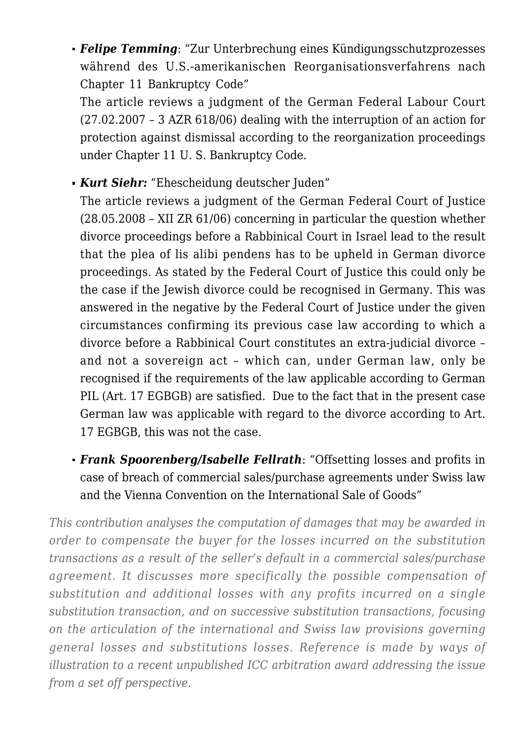*Felipe Temming*: "Zur Unterbrechung eines Kündigungsschutzprozesses während des U.S.-amerikanischen Reorganisationsverfahrens nach Chapter 11 Bankruptcy Code"

The article reviews a judgment of the German Federal Labour Court (27.02.2007 – 3 AZR 618/06) dealing with the interruption of an action for protection against dismissal according to the reorganization proceedings under Chapter 11 U. S. Bankruptcy Code.

*Kurt Siehr:* "Ehescheidung deutscher Juden"

The article reviews a judgment of the German Federal Court of Justice (28.05.2008 – XII ZR 61/06) concerning in particular the question whether divorce proceedings before a Rabbinical Court in Israel lead to the result that the plea of lis alibi pendens has to be upheld in German divorce proceedings. As stated by the Federal Court of Justice this could only be the case if the Jewish divorce could be recognised in Germany. This was answered in the negative by the Federal Court of Justice under the given circumstances confirming its previous case law according to which a divorce before a Rabbinical Court constitutes an extra-judicial divorce – and not a sovereign act – which can, under German law, only be recognised if the requirements of the law applicable according to German PIL (Art. 17 EGBGB) are satisfied. Due to the fact that in the present case German law was applicable with regard to the divorce according to Art. 17 EGBGB, this was not the case.

*Frank Spoorenberg/Isabelle Fellrath*: "Offsetting losses and profits in case of breach of commercial sales/purchase agreements under Swiss law and the Vienna Convention on the International Sale of Goods"

*This contribution analyses the computation of damages that may be awarded in order to compensate the buyer for the losses incurred on the substitution transactions as a result of the seller's default in a commercial sales/purchase agreement. It discusses more specifically the possible compensation of substitution and additional losses with any profits incurred on a single substitution transaction, and on successive substitution transactions, focusing on the articulation of the international and Swiss law provisions governing general losses and substitutions losses. Reference is made by ways of illustration to a recent unpublished ICC arbitration award addressing the issue from a set off perspective.*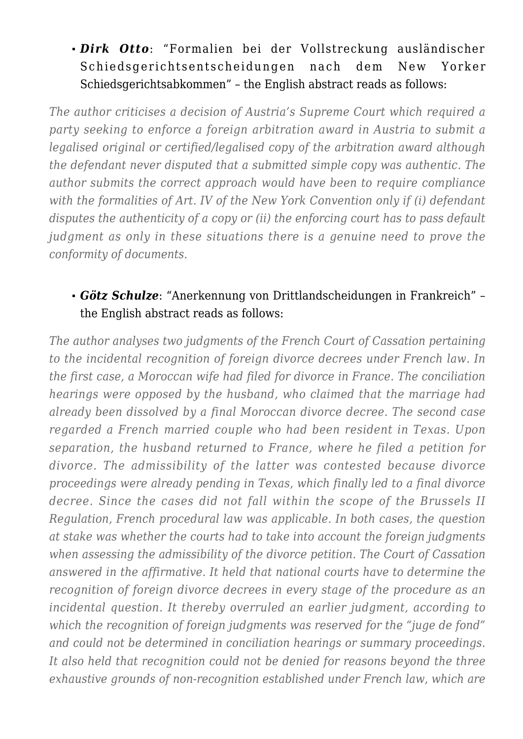# *Dirk Otto*: "Formalien bei der Vollstreckung ausländischer Schiedsgerichtsentscheidungen nach dem New Yorker Schiedsgerichtsabkommen" – the English abstract reads as follows:

*The author criticises a decision of Austria's Supreme Court which required a party seeking to enforce a foreign arbitration award in Austria to submit a legalised original or certified/legalised copy of the arbitration award although the defendant never disputed that a submitted simple copy was authentic. The author submits the correct approach would have been to require compliance with the formalities of Art. IV of the New York Convention only if (i) defendant disputes the authenticity of a copy or (ii) the enforcing court has to pass default judgment as only in these situations there is a genuine need to prove the conformity of documents.*

# *Götz Schulze*: "Anerkennung von Drittlandscheidungen in Frankreich" – the English abstract reads as follows:

*The author analyses two judgments of the French Court of Cassation pertaining to the incidental recognition of foreign divorce decrees under French law. In the first case, a Moroccan wife had filed for divorce in France. The conciliation hearings were opposed by the husband, who claimed that the marriage had already been dissolved by a final Moroccan divorce decree. The second case regarded a French married couple who had been resident in Texas. Upon separation, the husband returned to France, where he filed a petition for divorce. The admissibility of the latter was contested because divorce proceedings were already pending in Texas, which finally led to a final divorce decree. Since the cases did not fall within the scope of the Brussels II Regulation, French procedural law was applicable. In both cases, the question at stake was whether the courts had to take into account the foreign judgments when assessing the admissibility of the divorce petition. The Court of Cassation answered in the affirmative. It held that national courts have to determine the recognition of foreign divorce decrees in every stage of the procedure as an incidental question. It thereby overruled an earlier judgment, according to which the recognition of foreign judgments was reserved for the "juge de fond" and could not be determined in conciliation hearings or summary proceedings. It also held that recognition could not be denied for reasons beyond the three exhaustive grounds of non-recognition established under French law, which are*